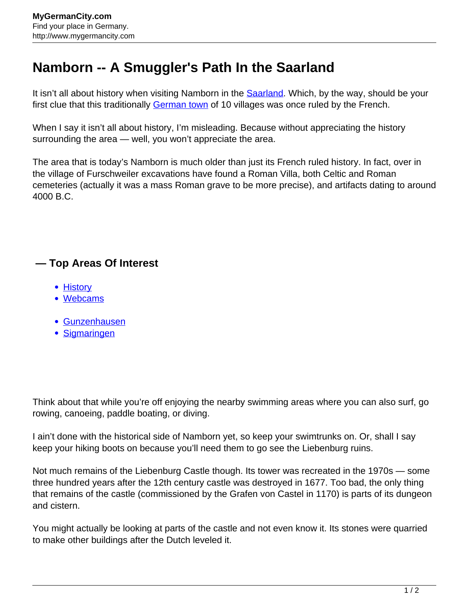## **Namborn -- A Smuggler's Path In the Saarland**

It isn't all about history when visiting Namborn in the **Saarland**. Which, by the way, should be your first clue that this traditionally [German town](http://www.mygermancity.com/german-cities) of 10 villages was once ruled by the French.

When I say it isn't all about history, I'm misleading. Because without appreciating the history surrounding the area — well, you won't appreciate the area.

The area that is today's Namborn is much older than just its French ruled history. In fact, over in the village of Furschweiler excavations have found a Roman Villa, both Celtic and Roman cemeteries (actually it was a mass Roman grave to be more precise), and artifacts dating to around 4000 B.C.

## **— Top Areas Of Interest**

- [History](http://www.mygermancity.com/leipzig-history)
- [Webcams](http://www.mygermancity.com/neustadt-holstein-webcams)
- [Gunzenhausen](http://www.mygermancity.com/gunzenhausen)
- [Sigmaringen](http://www.mygermancity.com/sigmaringen)

Think about that while you're off enjoying the nearby swimming areas where you can also surf, go rowing, canoeing, paddle boating, or diving.

I ain't done with the historical side of Namborn yet, so keep your swimtrunks on. Or, shall I say keep your hiking boots on because you'll need them to go see the Liebenburg ruins.

Not much remains of the Liebenburg Castle though. Its tower was recreated in the 1970s — some three hundred years after the 12th century castle was destroyed in 1677. Too bad, the only thing that remains of the castle (commissioned by the Grafen von Castel in 1170) is parts of its dungeon and cistern.

You might actually be looking at parts of the castle and not even know it. Its stones were quarried to make other buildings after the Dutch leveled it.